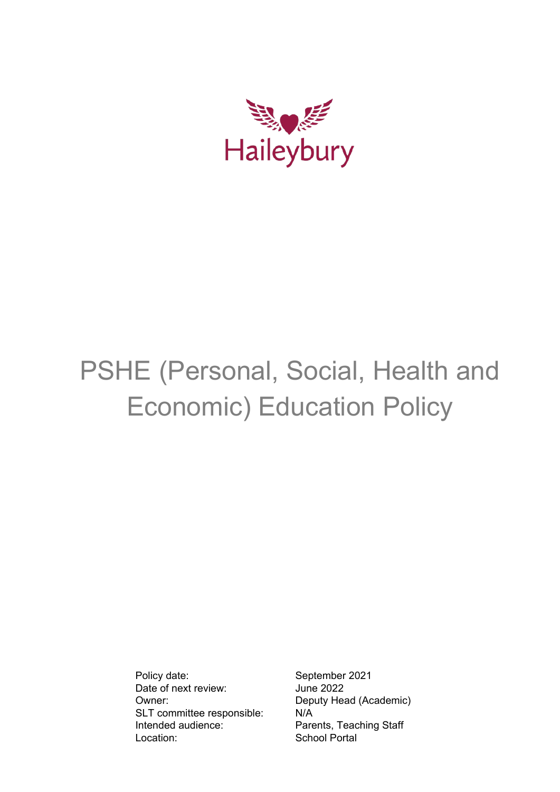

# PSHE (Personal, Social, Health and Economic) Education Policy

Policy date: September 2021 Date of next review: June 2022 Owner: Deputy Head (Academic) SLT committee responsible: N/A Intended audience: Parents, Teaching Staff<br>
Location: School Portal

School Portal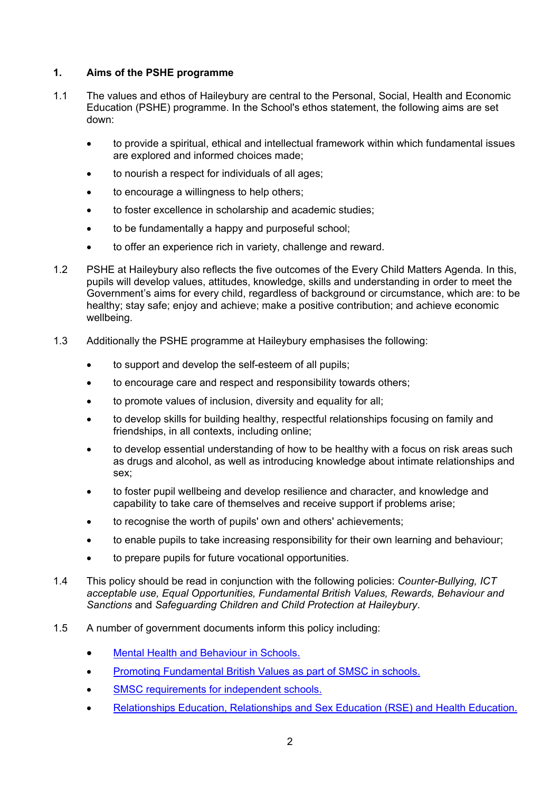#### **1. Aims of the PSHE programme**

- 1.1 The values and ethos of Haileybury are central to the Personal, Social, Health and Economic Education (PSHE) programme. In the School's ethos statement, the following aims are set down:
	- to provide a spiritual, ethical and intellectual framework within which fundamental issues are explored and informed choices made;
	- to nourish a respect for individuals of all ages:
	- to encourage a willingness to help others;
	- to foster excellence in scholarship and academic studies;
	- to be fundamentally a happy and purposeful school;
	- to offer an experience rich in variety, challenge and reward.
- 1.2 PSHE at Haileybury also reflects the five outcomes of the Every Child Matters Agenda. In this, pupils will develop values, attitudes, knowledge, skills and understanding in order to meet the Government's aims for every child, regardless of background or circumstance, which are: to be healthy; stay safe; enjoy and achieve; make a positive contribution; and achieve economic wellbeing.
- 1.3 Additionally the PSHE programme at Haileybury emphasises the following:
	- to support and develop the self-esteem of all pupils;
	- to encourage care and respect and responsibility towards others;
	- to promote values of inclusion, diversity and equality for all;
	- to develop skills for building healthy, respectful relationships focusing on family and friendships, in all contexts, including online;
	- to develop essential understanding of how to be healthy with a focus on risk areas such as drugs and alcohol, as well as introducing knowledge about intimate relationships and sex;
	- to foster pupil wellbeing and develop resilience and character, and knowledge and capability to take care of themselves and receive support if problems arise;
	- to recognise the worth of pupils' own and others' achievements;
	- to enable pupils to take increasing responsibility for their own learning and behaviour;
	- to prepare pupils for future vocational opportunities.
- 1.4 This policy should be read in conjunction with the following policies: *Counter-Bullying, ICT acceptable use, Equal Opportunities, Fundamental British Values, Rewards, Behaviour and Sanctions* and *Safeguarding Children and Child Protection at Haileybury*.
- 1.5 A number of government documents inform this policy including:
	- [Mental Health and Behaviour in Schools.](https://www.gov.uk/government/publications/mental-health-and-behaviour-in-schools--2)
	- [Promoting Fundamental British Values as part of SMSC in schools.](https://www.gov.uk/government/uploads/system/uploads/attachment_data/file/380595/SMSC_Guidance_Maintained_Schools.pdf)
	- [SMSC requirements for independent schools.](https://www.gov.uk/government/publications/improving-the-smsc-development-of-pupils-in-independent-schools)
	- [Relationships Education, Relationships and Sex Education \(RSE\) and Health Education.](https://assets.publishing.service.gov.uk/government/uploads/system/uploads/attachment_data/file/805781/Relationships_Education__Relationships_and_Sex_Education__RSE__and_Health_Education.pdf)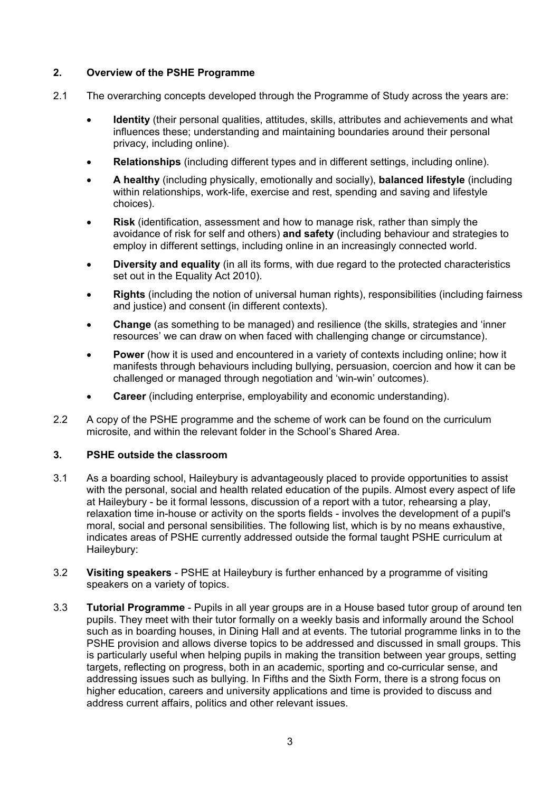#### **2. Overview of the PSHE Programme**

- 2.1 The overarching concepts developed through the Programme of Study across the years are:
	- **Identity** (their personal qualities, attitudes, skills, attributes and achievements and what influences these; understanding and maintaining boundaries around their personal privacy, including online).
	- **Relationships** (including different types and in different settings, including online).
	- **A healthy** (including physically, emotionally and socially), **balanced lifestyle** (including within relationships, work-life, exercise and rest, spending and saving and lifestyle choices).
	- **Risk** (identification, assessment and how to manage risk, rather than simply the avoidance of risk for self and others) **and safety** (including behaviour and strategies to employ in different settings, including online in an increasingly connected world.
	- **Diversity and equality** (in all its forms, with due regard to the protected characteristics set out in the Equality Act 2010).
	- **Rights** (including the notion of universal human rights), responsibilities (including fairness and justice) and consent (in different contexts).
	- **Change** (as something to be managed) and resilience (the skills, strategies and 'inner resources' we can draw on when faced with challenging change or circumstance).
	- **Power** (how it is used and encountered in a variety of contexts including online; how it manifests through behaviours including bullying, persuasion, coercion and how it can be challenged or managed through negotiation and 'win-win' outcomes).
	- **Career** (including enterprise, employability and economic understanding).
- 2.2 A copy of the PSHE programme and the scheme of work can be found on the curriculum microsite, and within the relevant folder in the School's Shared Area.

## **3. PSHE outside the classroom**

- 3.1 As a boarding school, Haileybury is advantageously placed to provide opportunities to assist with the personal, social and health related education of the pupils. Almost every aspect of life at Haileybury - be it formal lessons, discussion of a report with a tutor, rehearsing a play, relaxation time in-house or activity on the sports fields - involves the development of a pupil's moral, social and personal sensibilities. The following list, which is by no means exhaustive, indicates areas of PSHE currently addressed outside the formal taught PSHE curriculum at Haileybury:
- 3.2 **Visiting speakers** PSHE at Haileybury is further enhanced by a programme of visiting speakers on a variety of topics.
- 3.3 **Tutorial Programme** Pupils in all year groups are in a House based tutor group of around ten pupils. They meet with their tutor formally on a weekly basis and informally around the School such as in boarding houses, in Dining Hall and at events. The tutorial programme links in to the PSHE provision and allows diverse topics to be addressed and discussed in small groups. This is particularly useful when helping pupils in making the transition between year groups, setting targets, reflecting on progress, both in an academic, sporting and co-curricular sense, and addressing issues such as bullying. In Fifths and the Sixth Form, there is a strong focus on higher education, careers and university applications and time is provided to discuss and address current affairs, politics and other relevant issues.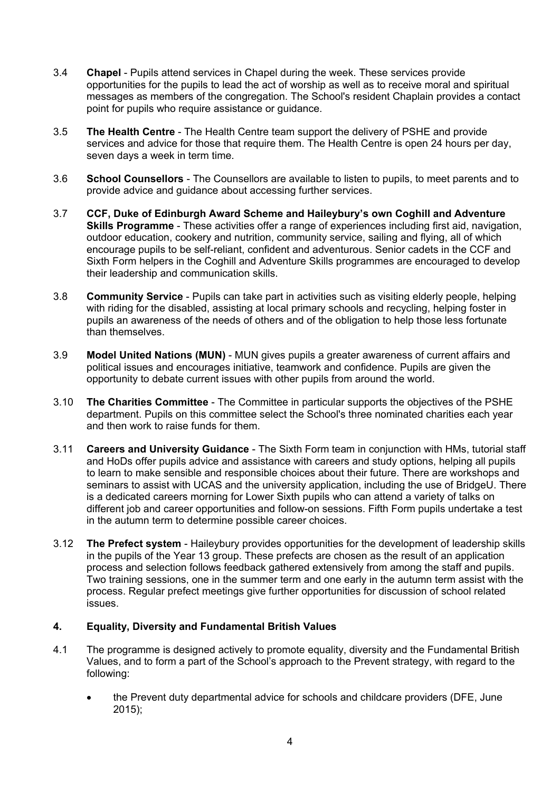- 3.4 **Chapel** Pupils attend services in Chapel during the week. These services provide opportunities for the pupils to lead the act of worship as well as to receive moral and spiritual messages as members of the congregation. The School's resident Chaplain provides a contact point for pupils who require assistance or guidance.
- 3.5 **The Health Centre** The Health Centre team support the delivery of PSHE and provide services and advice for those that require them. The Health Centre is open 24 hours per day, seven days a week in term time.
- 3.6 **School Counsellors** The Counsellors are available to listen to pupils, to meet parents and to provide advice and guidance about accessing further services.
- 3.7 **CCF, Duke of Edinburgh Award Scheme and Haileybury's own Coghill and Adventure Skills Programme** - These activities offer a range of experiences including first aid, navigation, outdoor education, cookery and nutrition, community service, sailing and flying, all of which encourage pupils to be self-reliant, confident and adventurous. Senior cadets in the CCF and Sixth Form helpers in the Coghill and Adventure Skills programmes are encouraged to develop their leadership and communication skills.
- 3.8 **Community Service** Pupils can take part in activities such as visiting elderly people, helping with riding for the disabled, assisting at local primary schools and recycling, helping foster in pupils an awareness of the needs of others and of the obligation to help those less fortunate than themselves.
- 3.9 **Model United Nations (MUN)** MUN gives pupils a greater awareness of current affairs and political issues and encourages initiative, teamwork and confidence. Pupils are given the opportunity to debate current issues with other pupils from around the world.
- 3.10 **The Charities Committee** The Committee in particular supports the objectives of the PSHE department. Pupils on this committee select the School's three nominated charities each year and then work to raise funds for them.
- 3.11 **Careers and University Guidance** The Sixth Form team in conjunction with HMs, tutorial staff and HoDs offer pupils advice and assistance with careers and study options, helping all pupils to learn to make sensible and responsible choices about their future. There are workshops and seminars to assist with UCAS and the university application, including the use of BridgeU. There is a dedicated careers morning for Lower Sixth pupils who can attend a variety of talks on different job and career opportunities and follow-on sessions. Fifth Form pupils undertake a test in the autumn term to determine possible career choices.
- 3.12 **The Prefect system** Haileybury provides opportunities for the development of leadership skills in the pupils of the Year 13 group. These prefects are chosen as the result of an application process and selection follows feedback gathered extensively from among the staff and pupils. Two training sessions, one in the summer term and one early in the autumn term assist with the process. Regular prefect meetings give further opportunities for discussion of school related issues.

## **4. Equality, Diversity and Fundamental British Values**

- 4.1 The programme is designed actively to promote equality, diversity and the Fundamental British Values, and to form a part of the School's approach to the Prevent strategy, with regard to the following:
	- the Prevent duty departmental advice for schools and childcare providers (DFE, June 2015);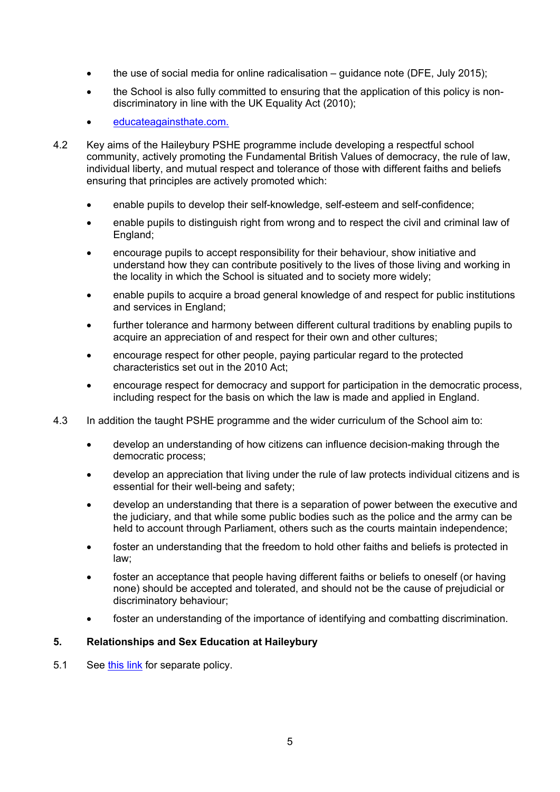- the use of social media for online radicalisation  $-$  guidance note (DFE, July 2015);
- the School is also fully committed to ensuring that the application of this policy is nondiscriminatory in line with the UK Equality Act (2010);
- [educateagainsthate.com.](https://educateagainsthate.com/)
- 4.2 Key aims of the Haileybury PSHE programme include developing a respectful school community, actively promoting the Fundamental British Values of democracy, the rule of law, individual liberty, and mutual respect and tolerance of those with different faiths and beliefs ensuring that principles are actively promoted which:
	- enable pupils to develop their self-knowledge, self-esteem and self-confidence;
	- enable pupils to distinguish right from wrong and to respect the civil and criminal law of England;
	- encourage pupils to accept responsibility for their behaviour, show initiative and understand how they can contribute positively to the lives of those living and working in the locality in which the School is situated and to society more widely;
	- enable pupils to acquire a broad general knowledge of and respect for public institutions and services in England;
	- further tolerance and harmony between different cultural traditions by enabling pupils to acquire an appreciation of and respect for their own and other cultures;
	- encourage respect for other people, paying particular regard to the protected characteristics set out in the 2010 Act;
	- encourage respect for democracy and support for participation in the democratic process, including respect for the basis on which the law is made and applied in England.
- 4.3 In addition the taught PSHE programme and the wider curriculum of the School aim to:
	- develop an understanding of how citizens can influence decision-making through the democratic process;
	- develop an appreciation that living under the rule of law protects individual citizens and is essential for their well-being and safety;
	- develop an understanding that there is a separation of power between the executive and the judiciary, and that while some public bodies such as the police and the army can be held to account through Parliament, others such as the courts maintain independence:
	- foster an understanding that the freedom to hold other faiths and beliefs is protected in law;
	- foster an acceptance that people having different faiths or beliefs to oneself (or having none) should be accepted and tolerated, and should not be the cause of prejudicial or discriminatory behaviour;
	- foster an understanding of the importance of identifying and combatting discrimination.

#### **5. Relationships and Sex Education at Haileybury**

5.1 See [this link](https://www.haileybury.com/content/uploads/2021/04/Relationships-and-Sex-Education-RSE-Policy-January-2021.pdf) for separate policy.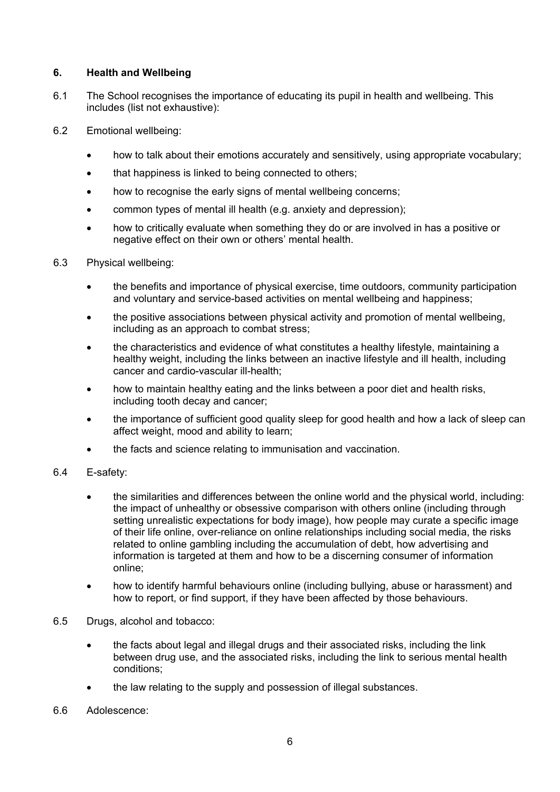### **6. Health and Wellbeing**

- 6.1 The School recognises the importance of educating its pupil in health and wellbeing. This includes (list not exhaustive):
- 6.2 Emotional wellbeing:
	- how to talk about their emotions accurately and sensitively, using appropriate vocabulary;
	- that happiness is linked to being connected to others;
	- how to recognise the early signs of mental wellbeing concerns:
	- common types of mental ill health (e.g. anxiety and depression);
	- how to critically evaluate when something they do or are involved in has a positive or negative effect on their own or others' mental health.
- 6.3 Physical wellbeing:
	- the benefits and importance of physical exercise, time outdoors, community participation and voluntary and service-based activities on mental wellbeing and happiness;
	- the positive associations between physical activity and promotion of mental wellbeing, including as an approach to combat stress;
	- the characteristics and evidence of what constitutes a healthy lifestyle, maintaining a healthy weight, including the links between an inactive lifestyle and ill health, including cancer and cardio-vascular ill-health;
	- how to maintain healthy eating and the links between a poor diet and health risks, including tooth decay and cancer;
	- the importance of sufficient good quality sleep for good health and how a lack of sleep can affect weight, mood and ability to learn;
	- the facts and science relating to immunisation and vaccination.
- 6.4 E-safety:
	- the similarities and differences between the online world and the physical world, including: the impact of unhealthy or obsessive comparison with others online (including through setting unrealistic expectations for body image), how people may curate a specific image of their life online, over-reliance on online relationships including social media, the risks related to online gambling including the accumulation of debt, how advertising and information is targeted at them and how to be a discerning consumer of information online;
	- how to identify harmful behaviours online (including bullying, abuse or harassment) and how to report, or find support, if they have been affected by those behaviours.
- 6.5 Drugs, alcohol and tobacco:
	- the facts about legal and illegal drugs and their associated risks, including the link between drug use, and the associated risks, including the link to serious mental health conditions;
	- the law relating to the supply and possession of illegal substances.
- 6.6 Adolescence: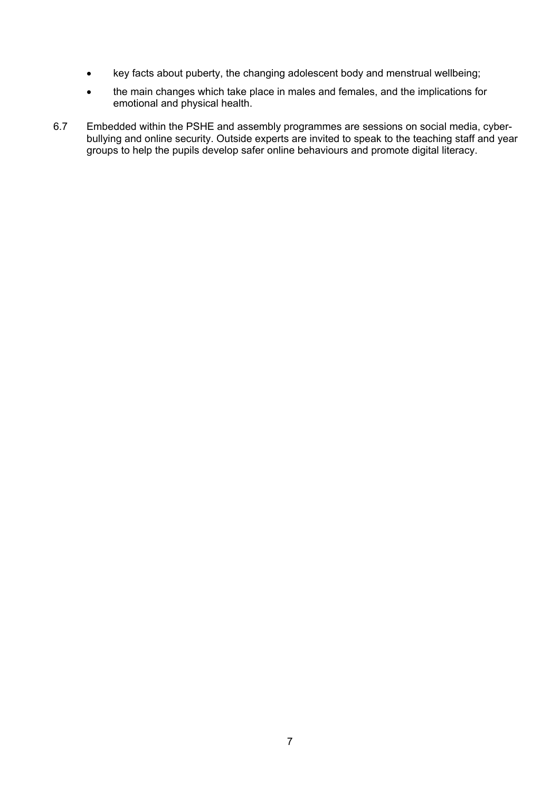- key facts about puberty, the changing adolescent body and menstrual wellbeing;
- the main changes which take place in males and females, and the implications for emotional and physical health.
- 6.7 Embedded within the PSHE and assembly programmes are sessions on social media, cyberbullying and online security. Outside experts are invited to speak to the teaching staff and year groups to help the pupils develop safer online behaviours and promote digital literacy.